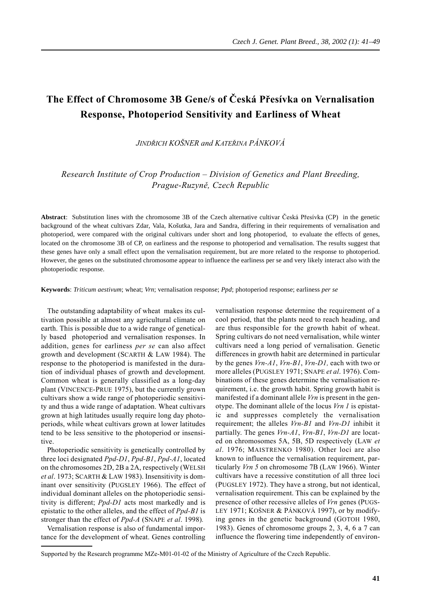# **The Effect of Chromosome 3B Gene/s of Česká Přesívka on Vernalisation Response, Photoperiod Sensitivity and Earliness of Wheat**

*JINDŘICH KOŠNER and KATEŘINA PÁNKOVÁ*

*Research Institute of Crop Production – Division of Genetics and Plant Breeding, Prague-Ruzyně, Czech Republic*

**Abstract**: Substitution lines with the chromosome 3B of the Czech alternative cultivar Česká Přesívka (CP) in the genetic background of the wheat cultivars Zdar, Vala, Košutka, Jara and Sandra, differing in their requirements of vernalisation and photoperiod, were compared with the original cultivars under short and long photoperiod, to evaluate the effects of genes, located on the chromosome 3B of CP, on earliness and the response to photoperiod and vernalisation. The results suggest that these genes have only a small effect upon the vernalisation requirement, but are more related to the response to photoperiod. However, the genes on the substituted chromosome appear to influence the earliness per se and very likely interact also with the photoperiodic response.

**Keywords**: *Triticum aestivum*; wheat; *Vrn*; vernalisation response; *Ppd*; photoperiod response; earliness *per se*

The outstanding adaptability of wheat makes its cultivation possible at almost any agricultural climate on earth. This is possible due to a wide range of genetically based photoperiod and vernalisation responses. In addition, genes for earliness *per se* can also affect growth and development (SCARTH & LAW 1984). The response to the photoperiod is manifested in the duration of individual phases of growth and development. Common wheat is generally classified as a long-day plant (VINCENCE-PRUE 1975), but the currently grown cultivars show a wide range of photoperiodic sensitivity and thus a wide range of adaptation. Wheat cultivars grown at high latitudes usually require long day photoperiods, while wheat cultivars grown at lower latitudes tend to be less sensitive to the photoperiod or insensitive.

Photoperiodic sensitivity is genetically controlled by three loci designated *Ppd-D1*, *Ppd-B1*, *Ppd-A1*, located on the chromosomes 2D, 2B a 2A, respectively (WELSH *et al*. 1973; SCARTH & LAW 1983). Insensitivity is dominant over sensitivity (PUGSLEY 1966). The effect of individual dominant alleles on the photoperiodic sensitivity is different; *Ppd-D1* acts most markedly and is epistatic to the other alleles, and the effect of *Ppd-B1* is stronger than the effect of *Ppd-A* (SNAPE *et al*. 1998)*.*

Vernalisation response is also of fundamental importance for the development of wheat. Genes controlling vernalisation response determine the requirement of a cool period, that the plants need to reach heading, and are thus responsible for the growth habit of wheat. Spring cultivars do not need vernalisation, while winter cultivars need a long period of vernalisation. Genetic differences in growth habit are determined in particular by the genes *Vrn-A1*, *Vrn-B1*, *Vrn-D1,* each with two or more alleles (PUGSLEY 1971; SNAPE *et al*. 1976). Combinations of these genes determine the vernalisation requirement, i.e. the growth habit. Spring growth habit is manifested if a dominant allele *Vrn* is present in the genotype. The dominant allele of the locus *Vrn 1* is epistatic and suppresses completely the vernalisation requirement; the alleles *Vrn-B1* and *Vrn-D1* inhibit it partially. The genes *Vrn-A1*, *Vrn-B1*, *Vrn-D1* are located on chromosomes 5A, 5B, 5D respectively (LAW *et al*. 1976; MAISTRENKO 1980). Other loci are also known to influence the vernalisation requirement, particularly *Vrn 5* on chromosome 7B (LAW 1966). Winter cultivars have a recessive constitution of all three loci (PUGSLEY 1972). They have a strong, but not identical, vernalisation requirement. This can be explained by the presence of other recessive alleles of *Vrn* genes (PUGS-LEY 1971; KOŠNER & PÁNKOVÁ 1997), or by modifying genes in the genetic background (GOTOH 1980, 1983). Genes of chromosome groups 2, 3, 4, 6 a 7 can influence the flowering time independently of environ-

Supported by the Research programme MZe-M01-01-02 of the Ministry of Agriculture of the Czech Republic.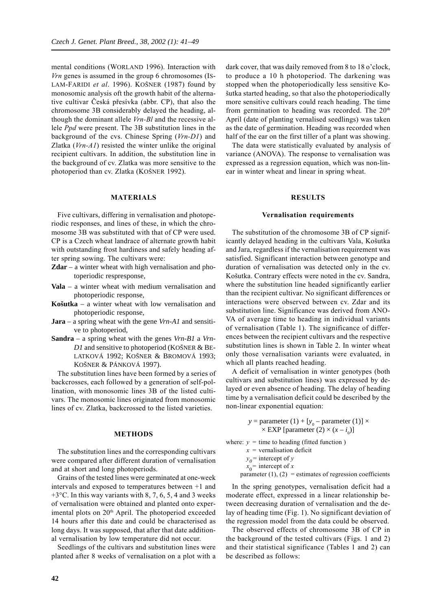mental conditions (WORLAND 1996). Interaction with *Vrn* genes is assumed in the group 6 chromosomes (IS-LAM-FARIDI *et al*. 1996). KOŠNER (1987) found by monosomic analysis oft the growth habit of the alternative cultivar Česká přesívka (abbr. CP), that also the chromosome 3B considerably delayed the heading, although the dominant allele *Vrn-Bl* and the recessive allele *Ppd* were present. The 3B substitution lines in the background of the cvs. Chinese Spring (*Vrn-D1*) and Zlatka (*Vrn-A1*) resisted the winter unlike the original recipient cultivars. In addition, the substitution line in the background of cv. Zlatka was more sensitive to the photoperiod than cv. Zlatka (KOŠNER 1992).

# **MATERIALS**

Five cultivars, differing in vernalisation and photoperiodic responses, and lines of these, in which the chromosome 3B was substituted with that of CP were used. CP is a Czech wheat landrace of alternate growth habit with outstanding frost hardiness and safely heading after spring sowing. The cultivars were:

- **Zdar**  a winter wheat with high vernalisation and photoperiodic respresponse,
- **Vala** a winter wheat with medium vernalisation and photoperiodic response,
- **Košutka** a winter wheat with low vernalisation and photoperiodic response,
- **Jara** a spring wheat with the gene *Vrn-A1* and sensitive to photoperiod,
- **Sandra** a spring wheat with the genes *Vrn-B1* a *Vrn-D1* and sensitive to photoperiod (KOŠNER & BE-LATKOVÁ 1992; KOŠNER & BROMOVÁ 1993; KOŠNER & PÁNKOVÁ 1997).

The substitution lines have been formed by a series of backcrosses, each followed by a generation of self-pollination, with monosomic lines 3B of the listed cultivars. The monosomic lines originated from monosomic lines of cv. Zlatka, backcrossed to the listed varieties.

## **METHODS**

The substitution lines and the corresponding cultivars were compared after different duration of vernalisation and at short and long photoperiods.

Grains of the tested lines were germinated at one-week intervals and exposed to temperatures between +1 and  $+3$ °C. In this way variants with 8, 7, 6, 5, 4 and 3 weeks of vernalisation were obtained and planted onto experimental plots on  $20<sup>th</sup>$  April. The photoperiod exceeded 14 hours after this date and could be characterised as long days. It was supposed, that after that date additional vernalisation by low temperature did not occur.

Seedlings of the cultivars and substitution lines were planted after 8 weeks of vernalisation on a plot with a dark cover, that was daily removed from 8 to 18 o'clock, to produce a 10 h photoperiod. The darkening was stopped when the photoperiodically less sensitive Košutka started heading, so that also the photoperiodically more sensitive cultivars could reach heading. The time from germination to heading was recorded. The  $20<sup>th</sup>$ April (date of planting vernalised seedlings) was taken as the date of germination. Heading was recorded when half of the ear on the first tiller of a plant was showing.

The data were statistically evaluated by analysis of variance (ANOVA). The response to vernalisation was expressed as a regression equation, which was non-linear in winter wheat and linear in spring wheat.

#### **RESULTS**

#### **Vernalisation requirements**

The substitution of the chromosome 3B of CP significantly delayed heading in the cultivars Vala, Košutka and Jara, regardless if the vernalisation requirement was satisfied. Significant interaction between genotype and duration of vernalisation was detected only in the cv. Košutka. Contrary effects were noted in the cv. Sandra, where the substitution line headed significantly earlier than the recipient cultivar. No significant differences or interactions were observed between cv. Zdar and its substitution line. Significance was derived from ANO-VA of average time to heading in individual variants of vernalisation (Table 1). The significance of differences between the recipient cultivars and the respective substitution lines is shown in Table 2. In winter wheat only those vernalisation variants were evaluated, in which all plants reached heading.

A deficit of vernalisation in winter genotypes (both cultivars and substitution lines) was expressed by delayed or even absence of heading. The delay of heading time by a vernalisation deficit could be described by the non-linear exponential equation:

> *y* = parameter  $(1) + [y_0$  – parameter  $(1)] \times$  $\times$  EXP [parameter (2)  $\times$  (*x* – *i*<sub>0</sub>)]

where:  $y =$  time to heading (fitted function)  $x =$  vernalisation deficit

 $y_0$ = intercept of *y* 

 $x_0$ <sup>=</sup> intercept of *x* 

parameter  $(1)$ ,  $(2)$  = estimates of regression coefficients

In the spring genotypes, vernalisation deficit had a moderate effect, expressed in a linear relationship between decreasing duration of vernalisation and the delay of heading time (Fig. 1). No significant deviation of the regression model from the data could be observed.

The observed effects of chromosome 3B of CP in the background of the tested cultivars (Figs. 1 and 2) and their statistical significance (Tables 1 and 2) can be described as follows: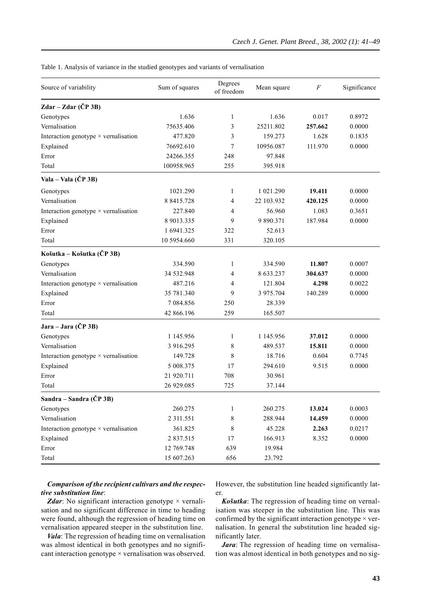Table 1. Analysis of variance in the studied genotypes and variants of vernalisation

| Source of variability                       | Sum of squares  | Degrees<br>of freedom | Mean square | $\boldsymbol{F}$ | Significance |
|---------------------------------------------|-----------------|-----------------------|-------------|------------------|--------------|
| Zdar - Zdar (ČP 3B)                         |                 |                       |             |                  |              |
| Genotypes                                   | 1.636           | 1                     | 1.636       | 0.017            | 0.8972       |
| Vernalisation                               | 75635.406       | 3                     | 25211.802   | 257.662          | 0.0000       |
| Interaction genotype $\times$ vernalisation | 477.820         | 3                     | 159.273     | 1.628            | 0.1835       |
| Explained                                   | 76692.610       | 7                     | 10956.087   | 111.970          | 0.0000       |
| Error                                       | 24266.355       | 248                   | 97.848      |                  |              |
| Total                                       | 100958.965      | 255                   | 395.918     |                  |              |
| Vala – Vala (ČP 3B)                         |                 |                       |             |                  |              |
| Genotypes                                   | 1021.290        | $\mathbf{1}$          | 1 021.290   | 19.411           | 0.0000       |
| Vernalisation                               | 8 8415.728      | 4                     | 22 103.932  | 420.125          | 0.0000       |
| Interaction genotype $\times$ vernalisation | 227.840         | 4                     | 56.960      | 1.083            | 0.3651       |
| Explained                                   | 8 9013.335      | 9                     | 9 890.371   | 187.984          | 0.0000       |
| Error                                       | 1 6941.325      | 322                   | 52.613      |                  |              |
| Total                                       | 10 5954.660     | 331                   | 320.105     |                  |              |
| Košutka – Košutka (ČP 3B)                   |                 |                       |             |                  |              |
| Genotypes                                   | 334.590         | 1                     | 334.590     | 11.807           | 0.0007       |
| Vernalisation                               | 34 532.948      | 4                     | 8 633.237   | 304.637          | 0.0000       |
| Interaction genotype $\times$ vernalisation | 487.216         | 4                     | 121.804     | 4.298            | 0.0022       |
| Explained                                   | 35 781.340      | 9                     | 3 975.704   | 140.289          | 0.0000       |
| Error                                       | 7 084.856       | 250                   | 28.339      |                  |              |
| Total                                       | 42 866.196      | 259                   | 165.507     |                  |              |
| Jara – Jara (ČP 3B)                         |                 |                       |             |                  |              |
| Genotypes                                   | 1 145.956       | $\mathbf{1}$          | 1 145.956   | 37.012           | 0.0000       |
| Vernalisation                               | 3 916.295       | 8                     | 489.537     | 15.811           | 0.0000       |
| Interaction genotype $\times$ vernalisation | 149.728         | 8                     | 18.716      | 0.604            | 0.7745       |
| Explained                                   | 5 008.375       | 17                    | 294.610     | 9.515            | 0.0000       |
| Error                                       | 21 920.711      | 708                   | 30.961      |                  |              |
| Total                                       | 26 929.085      | 725                   | 37.144      |                  |              |
| Sandra – Sandra (ČP 3B)                     |                 |                       |             |                  |              |
| Genotypes                                   | 260.275         | $\mathbf{1}$          | 260.275     | 13.024           | 0.0003       |
| Vernalisation                               | 2 3 1 1 . 5 5 1 | $\,$ $\,$             | 288.944     | 14.459           | 0.0000       |
| Interaction genotype $\times$ vernalisation | 361.825         | 8                     | 45.228      | 2.263            | 0.0217       |
| Explained                                   | 2 837.515       | $17\,$                | 166.913     | 8.352            | 0.0000       |
| Error                                       | 12 769.748      | 639                   | 19.984      |                  |              |
| Total                                       | 15 607.263      | 656                   | 23.792      |                  |              |

# *Comparison of the recipient cultivars and the respective substitution line*:

*Zdar*: No significant interaction genotype  $\times$  vernalisation and no significant difference in time to heading were found, although the regression of heading time on vernalisation appeared steeper in the substitution line.

*Vala*: The regression of heading time on vernalisation was almost identical in both genotypes and no significant interaction genotype × vernalisation was observed. However, the substitution line headed significantly later.

*Košutka*: The regression of heading time on vernalisation was steeper in the substitution line. This was confirmed by the significant interaction genotype  $\times$  vernalisation. In general the substitution line headed significantly later.

*Jara*: The regression of heading time on vernalisation was almost identical in both genotypes and no sig-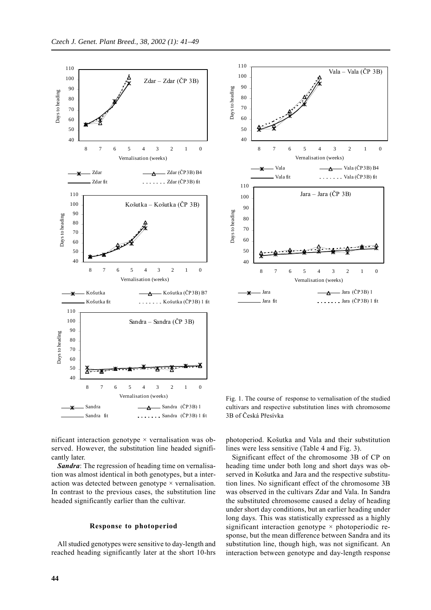



3B of Česká Přesívka

nificant interaction genotype  $\times$  vernalisation was observed. However, the substitution line headed significantly later.

*Sandra*: The regression of heading time on vernalisation was almost identical in both genotypes, but a interaction was detected between genotype  $\times$  vernalisation. In contrast to the previous cases, the substitution line headed significantly earlier than the cultivar.

### **Response to photoperiod**

All studied genotypes were sensitive to day-length and reached heading significantly later at the short 10-hrs photoperiod. Košutka and Vala and their substitution lines were less sensitive (Table 4 and Fig. 3).

Fig. 1. The course of response to vernalisation of the studied cultivars and respective substitution lines with chromosome

Significant effect of the chromosome 3B of CP on heading time under both long and short days was observed in Košutka and Jara and the respective substitution lines. No significant effect of the chromosome 3B was observed in the cultivars Zdar and Vala. In Sandra the substituted chromosome caused a delay of heading under short day conditions, but an earlier heading under long days. This was statistically expressed as a highly significant interaction genotype  $\times$  photoperiodic response, but the mean difference between Sandra and its substitution line, though high, was not significant. An interaction between genotype and day-length response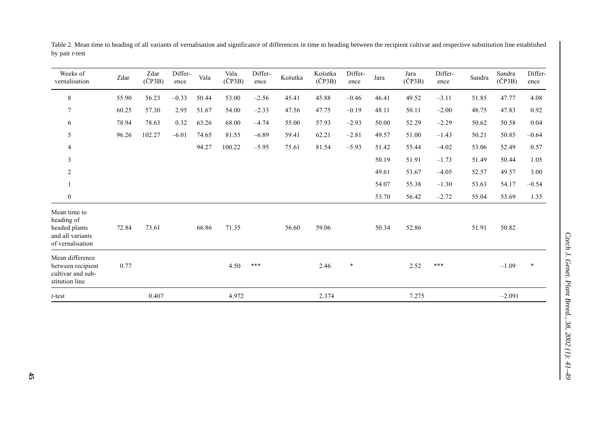| Weeks of<br>vernalisation                                                           | Zdar  | Zdar<br>$(\check{C}P3B)$ | Differ-<br>ence | Vala  | Vala<br>$(\check{C}P3B)$ | Differ-<br>ence | Košutka | Košutka<br>$(\check{C}P3B)$ | Differ-<br>ence | Jara  | Jara<br>$(\check{C}P3B)$ | Differ-<br>ence | Sandra | Sandra<br>$(\check{C}P3B)$ | Differ-<br>ence |
|-------------------------------------------------------------------------------------|-------|--------------------------|-----------------|-------|--------------------------|-----------------|---------|-----------------------------|-----------------|-------|--------------------------|-----------------|--------|----------------------------|-----------------|
| $\,8\,$                                                                             | 55.90 | 56.23                    | $-0.33$         | 50.44 | 53.00                    | $-2.56$         | 45.41   | 45.88                       | $-0.46$         | 46.41 | 49.52                    | $-3.11$         | 51.85  | 47.77                      | 4.08            |
| $\overline{7}$                                                                      | 60.25 | 57.30                    | 2.95            | 51.67 | 54.00                    | $-2.33$         | 47.56   | 47.75                       | $-0.19$         | 48.11 | 50.11                    | $-2.00$         | 48.75  | 47.83                      | 0.92            |
| 6                                                                                   | 78.94 | 78.63                    | 0.32            | 63.26 | 68.00                    | $-4.74$         | 55.00   | 57.93                       | $-2.93$         | 50.00 | 52.29                    | $-2.29$         | 50.62  | 50.58                      | 0.04            |
| 5                                                                                   | 96.26 | 102.27                   | $-6.01$         | 74.65 | 81.55                    | $-6.89$         | 59.41   | 62.21                       | $-2.81$         | 49.57 | 51.00                    | $-1.43$         | 50.21  | 50.85                      | $-0.64$         |
| 4                                                                                   |       |                          |                 | 94.27 | 100.22                   | $-5.95$         | 75.61   | 81.54                       | $-5.93$         | 51.42 | 55.44                    | $-4.02$         | 53.06  | 52.49                      | 0.57            |
| 3                                                                                   |       |                          |                 |       |                          |                 |         |                             |                 | 50.19 | 51.91                    | $-1.73$         | 51.49  | 50.44                      | 1.05            |
| 2                                                                                   |       |                          |                 |       |                          |                 |         |                             |                 | 49.61 | 53.67                    | $-4.05$         | 52.57  | 49.57                      | 3.00            |
|                                                                                     |       |                          |                 |       |                          |                 |         |                             |                 | 54.07 | 55.38                    | $-1.30$         | 53.63  | 54.17                      | $-0.54$         |
| $\overline{0}$                                                                      |       |                          |                 |       |                          |                 |         |                             |                 | 53.70 | 56.42                    | $-2.72$         | 55.04  | 53.69                      | 1.35            |
| Mean time to<br>heading of<br>headed plants<br>and all variants<br>of vernalisation | 72.84 | 73.61                    |                 | 66.86 | 71.35                    |                 | 56.60   | 59.06                       |                 | 50.34 | 52.86                    |                 | 51.91  | 50.82                      |                 |
| Mean difference<br>between recipient<br>cultivar and sub-<br>stitution line         | 0.77  |                          |                 |       | 4.50                     | ***             |         | 2.46                        | $\ast$          |       | 2.52                     | ***             |        | $-1.09$                    | $\ast$          |
| $t$ -test                                                                           |       | 0.407                    |                 |       | 4.972                    |                 |         | 2.374                       |                 |       | 7.275                    |                 |        | $-2.091$                   |                 |

Table 2. Mean time to heading of all variants of vernalisation and significance of differences in time to heading between the recipient cultivar and respective substitution line established by pair *t*-test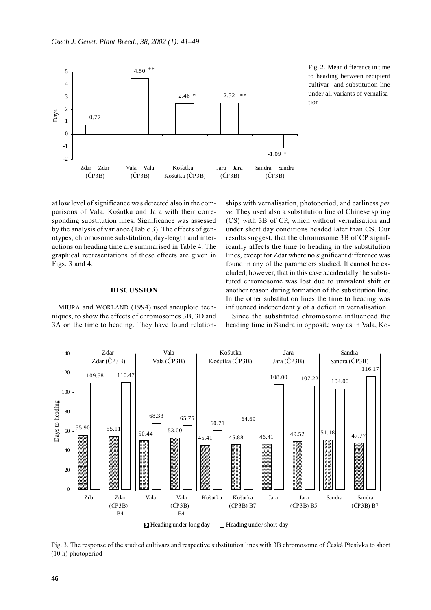

Fig. 2. Mean difference in time to heading between recipient cultivar and substitution line under all variants of vernalisation

at low level of significance was detected also in the comparisons of Vala, Košutka and Jara with their corresponding substitution lines. Significance was assessed by the analysis of variance (Table 3). The effects of genotypes, chromosome substitution, day-length and interactions on heading time are summarised in Table 4. The graphical representations of these effects are given in Figs. 3 and 4.

## **DISCUSSION**

MIURA and WORLAND (1994) used aneuploid techniques, to show the effects of chromosomes 3B, 3D and 3A on the time to heading. They have found relationships with vernalisation, photoperiod, and earliness *per se*. They used also a substitution line of Chinese spring (CS) with 3B of CP, which without vernalisation and under short day conditions headed later than CS. Our results suggest, that the chromosome 3B of CP significantly affects the time to heading in the substitution lines, except for Zdar where no significant difference was found in any of the parameters studied. It cannot be excluded, however, that in this case accidentally the substituted chromosome was lost due to univalent shift or another reason during formation of the substitution line. In the other substitution lines the time to heading was influenced independently of a deficit in vernalisation.

Since the substituted chromosome influenced the heading time in Sandra in opposite way as in Vala, Ko-



Fig. 3. The response of the studied cultivars and respective substitution lines with 3B chromosome of Česká Přesívka to short (10 h) photoperiod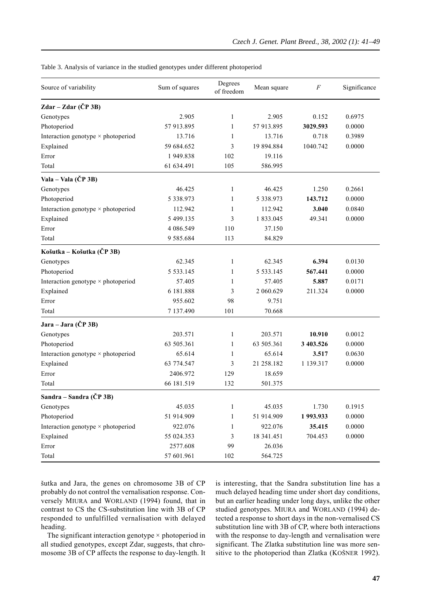| Table 3. Analysis of variance in the studied genotypes under different photoperiod |  |  |  |  |  |  |
|------------------------------------------------------------------------------------|--|--|--|--|--|--|
|------------------------------------------------------------------------------------|--|--|--|--|--|--|

| Source of variability                     | Sum of squares  | Degrees<br>of freedom | Mean square     | F         | Significance |
|-------------------------------------------|-----------------|-----------------------|-----------------|-----------|--------------|
| Zdar – Zdar (ČP 3B)                       |                 |                       |                 |           |              |
| Genotypes                                 | 2.905           | 1                     | 2.905           | 0.152     | 0.6975       |
| Photoperiod                               | 57 913.895      | 1                     | 57 913.895      | 3029.593  | 0.0000       |
| Interaction genotype × photoperiod        | 13.716          | $\mathbf{1}$          | 13.716          | 0.718     | 0.3989       |
| Explained                                 | 59 684.652      | 3                     | 19 894.884      | 1040.742  | 0.0000       |
| Error                                     | 1949.838        | 102                   | 19.116          |           |              |
| Total                                     | 61 634.491      | 105                   | 586.995         |           |              |
| Vala – Vala (ČP 3B)                       |                 |                       |                 |           |              |
| Genotypes                                 | 46.425          | $\mathbf{1}$          | 46.425          | 1.250     | 0.2661       |
| Photoperiod                               | 5 3 3 8 . 9 7 3 | 1                     | 5 3 3 8 . 9 7 3 | 143.712   | 0.0000       |
| Interaction genotype × photoperiod        | 112.942         | 1                     | 112.942         | 3.040     | 0.0840       |
| Explained                                 | 5 499.135       | 3                     | 1 833.045       | 49.341    | 0.0000       |
| Error                                     | 4 086.549       | 110                   | 37.150          |           |              |
| Total                                     | 9 5 8 5 . 6 8 4 | 113                   | 84.829          |           |              |
| Košutka – Košutka (ČP 3B)                 |                 |                       |                 |           |              |
| Genotypes                                 | 62.345          | $\mathbf{1}$          | 62.345          | 6.394     | 0.0130       |
| Photoperiod                               | 5 5 3 3 . 1 4 5 | 1                     | 5 5 3 3 . 1 4 5 | 567.441   | 0.0000       |
| Interaction genotype × photoperiod        | 57.405          | 1                     | 57.405          | 5.887     | 0.0171       |
| Explained                                 | 6 181.888       | 3                     | 2 060.629       | 211.324   | 0.0000       |
| Error                                     | 955.602         | 98                    | 9.751           |           |              |
| Total                                     | 7 137.490       | 101                   | 70.668          |           |              |
| Jara – Jara (ČP 3B)                       |                 |                       |                 |           |              |
| Genotypes                                 | 203.571         | 1                     | 203.571         | 10.910    | 0.0012       |
| Photoperiod                               | 63 505.361      | $\mathbf{1}$          | 63 505.361      | 3 403.526 | 0.0000       |
| Interaction genotype × photoperiod        | 65.614          | 1                     | 65.614          | 3.517     | 0.0630       |
| Explained                                 | 63 774.547      | 3                     | 21 258.182      | 1 139.317 | 0.0000       |
| Error                                     | 2406.972        | 129                   | 18.659          |           |              |
| Total                                     | 66 181.519      | 132                   | 501.375         |           |              |
| Sandra – Sandra (ČP 3B)                   |                 |                       |                 |           |              |
| Genotypes                                 | 45.035          | 1                     | 45.035          | 1.730     | 0.1915       |
| Photoperiod                               | 51 914.909      | $\mathbf{1}$          | 51 914.909      | 1993.933  | 0.0000       |
| Interaction genotype $\times$ photoperiod | 922.076         | $\mathbf{1}$          | 922.076         | 35.415    | 0.0000       |
| Explained                                 | 55 024.353      | $\mathfrak{Z}$        | 18 341.451      | 704.453   | 0.0000       |
| Error                                     | 2577.608        | 99                    | 26.036          |           |              |
| Total                                     | 57 601.961      | 102                   | 564.725         |           |              |

šutka and Jara, the genes on chromosome 3B of CP probably do not control the vernalisation response. Conversely MIURA and WORLAND (1994) found, that in contrast to CS the CS-substitution line with 3B of CP responded to unfulfilled vernalisation with delayed heading.

The significant interaction genotype  $\times$  photoperiod in all studied genotypes, except Zdar, suggests, that chromosome 3B of CP affects the response to day-length. It is interesting, that the Sandra substitution line has a much delayed heading time under short day conditions, but an earlier heading under long days, unlike the other studied genotypes. MIURA and WORLAND (1994) detected a response to short days in the non-vernalised CS substitution line with 3B of CP, where both interactions with the response to day-length and vernalisation were significant. The Zlatka substitution line was more sensitive to the photoperiod than Zlatka (KOŠNER 1992).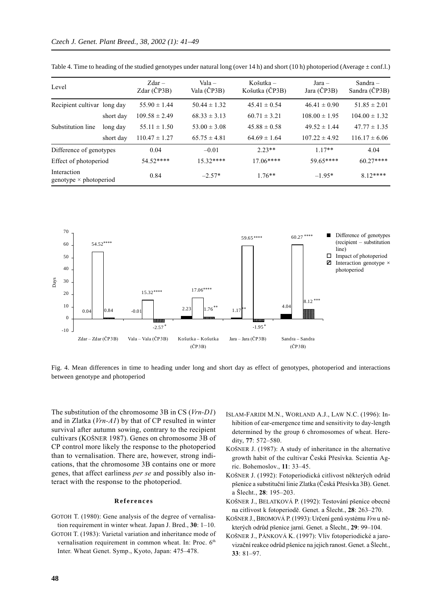| Level                                        |           | $Zdar -$<br>Zdar (ČP3B) | $Value -$<br>Vala (ČP3B) | Košutka $-$<br>Košutka (ČP3B) | $Jara -$<br>Jara (ČP3B) | Sandra $-$<br>Sandra (ČP3B) |
|----------------------------------------------|-----------|-------------------------|--------------------------|-------------------------------|-------------------------|-----------------------------|
| Recipient cultivar long day                  |           | $55.90 \pm 1.44$        | $50.44 \pm 1.32$         | $45.41 \pm 0.54$              | $46.41 \pm 0.90$        | $51.85 \pm 2.01$            |
|                                              | short day | $109.58 \pm 2.49$       | $68.33 \pm 3.13$         | $60.71 \pm 3.21$              | $108.00 \pm 1.95$       | $104.00 \pm 1.32$           |
| Substitution line                            | long day  | $55.11 \pm 1.50$        | $53.00 \pm 3.08$         | $45.88 \pm 0.58$              | $49.52 \pm 1.44$        | $47.77 \pm 1.35$            |
|                                              | short day | $110.47 \pm 1.27$       | $65.75 \pm 4.81$         | $64.69 \pm 1.64$              | $107.22 \pm 4.92$       | $116.17 \pm 6.06$           |
| Difference of genotypes                      |           | 0.04                    | $-0.01$                  | $2.23**$                      | $117**$                 | 4.04                        |
| Effect of photoperiod                        |           | $54.52***$              | $15.32***$               | $17.06***$                    | 59.65****               | $60.27***$                  |
| Interaction<br>genotype $\times$ photoperiod |           | 0.84                    | $-2.57*$                 | $1.76**$                      | $-1.95*$                | $812***$                    |

Table 4. Time to heading of the studied genotypes under natural long (over 14 h) and short (10 h) photoperiod (Average  $\pm$  conf.l.)



Fig. 4. Mean differences in time to heading under long and short day as effect of genotypes, photoperiod and interactions between genotype and photoperiod

The substitution of the chromosome 3B in CS (*Vrn-D1*) and in Zlatka (*Vrn-A1*) by that of CP resulted in winter survival after autumn sowing, contrary to the recipient cultivars (KOŠNER 1987). Genes on chromosome 3B of CP control more likely the response to the photoperiod than to vernalisation. There are, however, strong indications, that the chromosome 3B contains one or more genes, that affect earliness *per se* and possibly also interact with the response to the photoperiod.

### **References**

- GOTOH T. (1980): Gene analysis of the degree of vernalisation requirement in winter wheat. Japan J. Bred., **30**: 1–10.
- GOTOH T. (1983): Varietal variation and inheritance mode of vernalisation requirement in common wheat. In: Proc. 6<sup>th</sup> Inter. Wheat Genet. Symp., Kyoto, Japan: 475–478.
- ISLAM-FARIDI M.N., WORLAND A.J., LAW N.C. (1996): Inhibition of ear-emergence time and sensitivity to day-length determined by the group 6 chromosomes of wheat. Heredity, **77**: 572–580.
- KOŠNER J. (1987): A study of inheritance in the alternative growth habit of the cultivar Česká Přesívka. Scientia Agric. Bohemoslov., **11**: 33–45.
- KOŠNER J. (1992): Fotoperiodická citlivost některých odrůd pšenice a substituční linie Zlatka (Česká Přesívka 3B). Genet. a Šlecht., **28**: 195–203.
- KOŠNER J., BELATKOVÁ P. (1992): Testování pšenice obecné na citlivost k fotoperiodě. Genet. a Šlecht., **28**: 263–270.
- KOŠNER J., BROMOVÁ P. (1993): Určení genů systému *Vrn* u některých odrůd pšenice jarní. Genet. a Šlecht., **29**: 99–104.
- KOŠNER J., PÁNKOVÁ K. (1997): Vliv fotoperiodické a jarovizační reakce odrůd pšenice na jejich ranost. Genet. a Šlecht., **33**: 81–97.